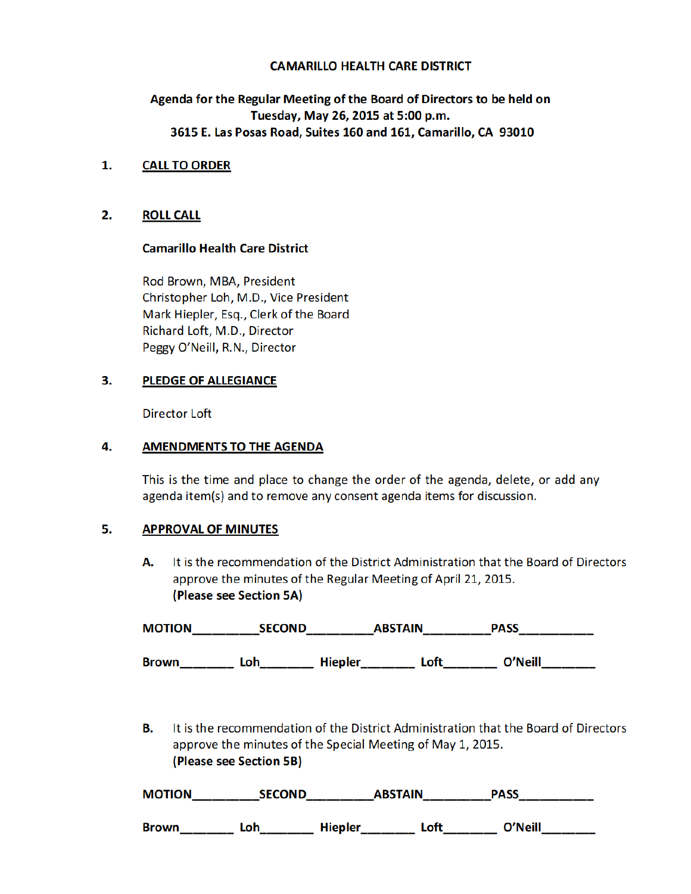#### CAMARILLO HEALTH CARE DISTRICT

# Agenda for the Regular Meeting of the Board of Directors to be held on Tuesday, May 26, 2015 at 5:00 p.m. 3615 E. Las Posas Road, Suites 160 and 161, Camarillo, CA 93010

### 1. CALL TO ORDER

### 2. ROLL CALL

#### Camarillo Health Care District

Rod Brown, MBA, President Christopher Loh, M.D., Vice President Mark Hiepler, Esq., Clerk of the Board Richard Loft, M.D., Director Peggy O'Neill, R.N., Director

### 3. PLEDGE OF ALLEGIANCE

Director Loft

### 4. AMENDMENTS TO THE AGENDA

 This is the time and place to change the order of the agenda, delete, or add any agenda item(s) and to remove any consent agenda items for discussion.

#### 5. APPROVAL OF MINUTES

A. It is the recommendation of the District Administration that the Board of Directors approve the minutes of the Regular Meeting of April 21, 2015. (Please see Section 5A)

| <b>MOTION</b> | <b>SECOND</b> |                | <b>ABSTAIN</b> | <b>PASS</b> |
|---------------|---------------|----------------|----------------|-------------|
|               |               |                |                |             |
| <b>Brown</b>  | ⊥oh           | <b>Hiepler</b> | ∟oft           | O'Neill     |

B. It is the recommendation of the District Administration that the Board of Directors approve the minutes of the Special Meeting of May 1, 2015. (Please see Section 5B)

| <b>MOTION</b> | <b>SECOND</b> | <b>ABSTAIN</b> | <b>PASS</b> |  |
|---------------|---------------|----------------|-------------|--|
|---------------|---------------|----------------|-------------|--|

Brown\_\_\_\_\_\_\_\_ Loh\_\_\_\_\_\_\_\_ Hiepler\_\_\_\_\_\_\_\_ Loft\_\_\_\_\_\_\_\_ O'Neill\_\_\_\_\_\_\_\_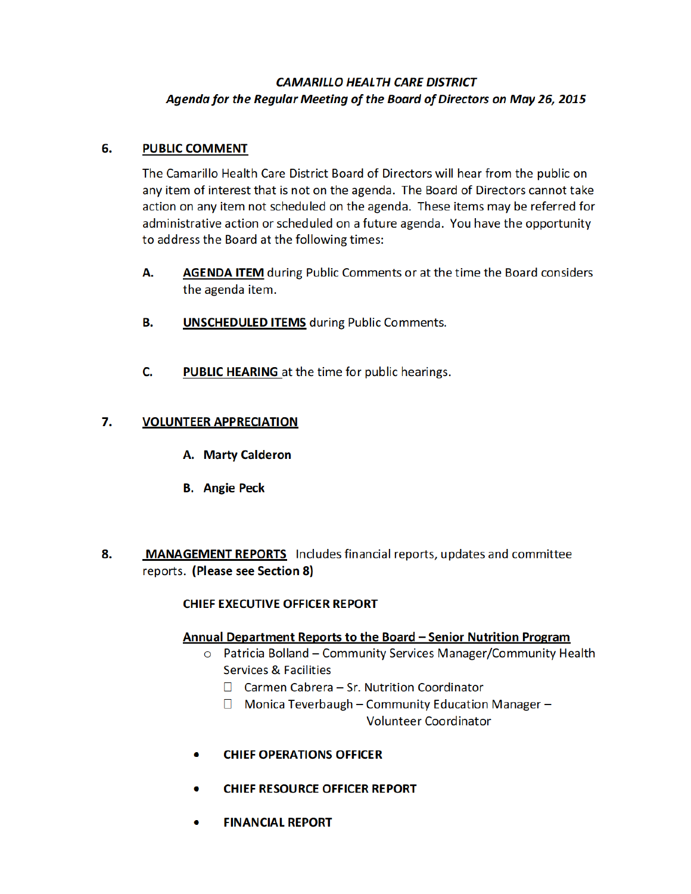# CAMARILLO HEALTH CARE DISTRICT Agenda for the Regular Meeting of the Board of Directors on May 26, 2015

# 6. PUBLIC COMMENT

The Camarillo Health Care District Board of Directors will hear from the public on any item of interest that is not on the agenda. The Board of Directors cannot take action on any item not scheduled on the agenda. These items may be referred for administrative action or scheduled on a future agenda. You have the opportunity to address the Board at the following times:

- A. AGENDA ITEM during Public Comments or at the time the Board considers the agenda item.
- **B.** UNSCHEDULED ITEMS during Public Comments.
- C. PUBLIC HEARING at the time for public hearings.

# 7. VOLUNTEER APPRECIATION

- A. Marty Calderon
- B. Angie Peck
- 8. MANAGEMENT REPORTS Includes financial reports, updates and committee reports. (Please see Section 8)

# CHIEF EXECUTIVE OFFICER REPORT

# Annual Department Reports to the Board – Senior Nutrition Program

- o Patricia Bolland Community Services Manager/Community Health Services & Facilities
	- □ Carmen Cabrera Sr. Nutrition Coordinator
	- $\Box$  Monica Teverbaugh Community Education Manager Volunteer Coordinator
- **CHIEF OPERATIONS OFFICER**
- **CHIEF RESOURCE OFFICER REPORT**
- FINANCIAL REPORT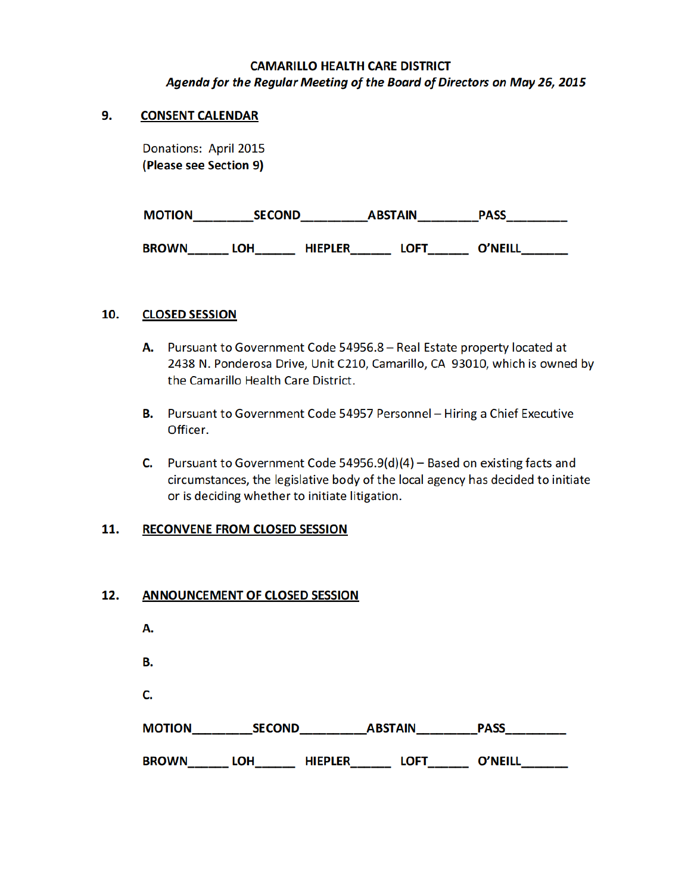## CAMARILLO HEALTH CARE DISTRICT Agenda for the Regular Meeting of the Board of Directors on May 26, 2015

### 9. CONSENT CALENDAR

Donations: April 2015 (Please see Section 9)

| <b>MOTION</b> | <b>SECOND</b> |                | <b>ABSTAIN</b> | <b>PASS</b>    |
|---------------|---------------|----------------|----------------|----------------|
| <b>BROWN</b>  | .OH           | <b>HIEPLER</b> | LOFT           | <b>O'NEILL</b> |

### 10. CLOSED SESSION

- A. Pursuant to Government Code 54956.8 Real Estate property located at 2438 N. Ponderosa Drive, Unit C210, Camarillo, CA 93010, which is owned by the Camarillo Health Care District.
- B. Pursuant to Government Code 54957 Personnel Hiring a Chief Executive Officer.
- C. Pursuant to Government Code 54956.9(d)(4) Based on existing facts and circumstances, the legislative body of the local agency has decided to initiate or is deciding whether to initiate litigation.

### 11. RECONVENE FROM CLOSED SESSION

### 12. ANNOUNCEMENT OF CLOSED SESSION

| А.            |                              |                |                |
|---------------|------------------------------|----------------|----------------|
| В.            |                              |                |                |
| C.            |                              |                |                |
| <b>MOTION</b> | <b>SECOND</b>                | <b>ABSTAIN</b> | <b>PASS</b>    |
| <b>BROWN</b>  | <b>HIEPLER</b><br><b>LOH</b> | <b>LOFT</b>    | <b>O'NEILL</b> |